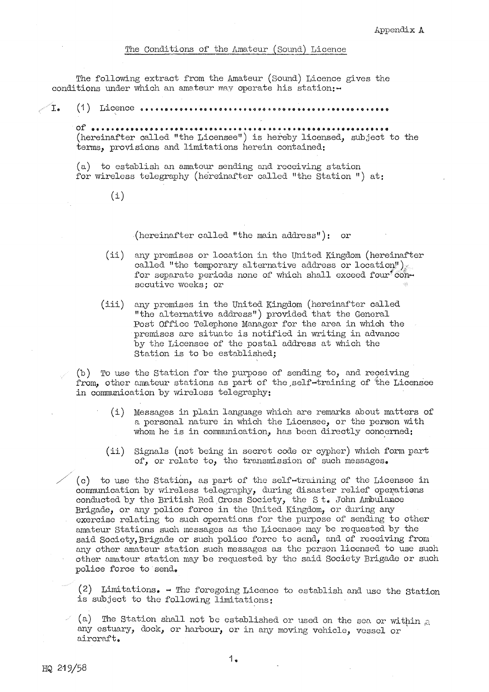The following extract from the Amateur (Sound) Licence gives the conditions under which an amateur may operate his station:-

**I. (1) Licence••••••••••••••••••••••••••••••••••••••·••••••••••••** 

**of•••••••••••••••••••••••••&•••••••••••••••••••••••••••••••••••**  (hereinafter called "the Licensee") is hereby licensed, subject to the terms, provisions and limitations herein contained:

(a) to establish an amateur sending and receiving station for wireless telegraphy (hereinafter called "the Station ") at:

(i)

(hereinafter called "the main address"): or

- (ii) any premises or location in the United Kingdom (hereinafter called "the temporary alternative address or location") for separate periods none of which shall exceed four consecutive weeks; or
- (iii) any premises in the United Kingdom (hereinafter called "the alternative address") provided that the General Post Office Telephone Manager for the area in which the premises are situate is notified in writing in advance by the Licensee of the postal address at which the Station is to be established;

 $(b)$  To use the Station for the purpose of sending to, and receiving from, other amateur stations as part of the self-training of the Licensee in communication by wireless telegraphy:

- (i) Messages in plain language which are remarks about matters of a personal nature in which the Licensee, or the person with whom he is in communication, has been directly concerned:
- (ii) Signals (not being in secret code or cypher) which form part of, or relate to, the transmission of such messages.

/" ( c) to use the Station, as part of the self-training of the Licensee in communication by wireless telegraphy, during disaster relief operations conducted by the British Red Cross Society, the St. John Ambulance Brigade, or any police force in the United Kingdom, or during any exercise relating to such operations for the purpose of sending to other amateur Stations such messages as the Licensee may be requested by the said Society, Brigade or such police force to send, and of receiving from any other amateur station such messages as the person licensed to use such other amateur station may be requested by the said Society Brigade or such police force to send.

(2) Limitations.  $-$  The foregoing Licence to establish and use the Station is subject to the following limitations:

(a) The Station shall not be established or used on the sea or within  $\alpha$ any estuary, dock, or harbour, or in any moving vehicle, vessel or aircraft.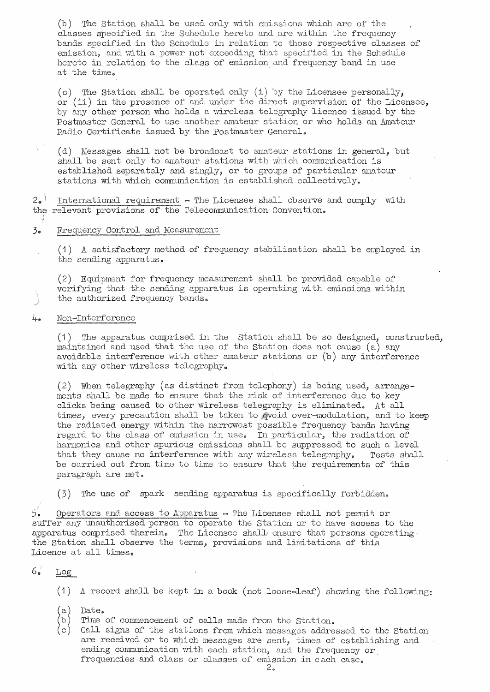$(b)$  The Station shall be used only with emissions which are of the classes specified in the Schedule hereto and are within the frequency bands specified in the Schedule in relation to those respective classes of emission, and with a power not exceeding that specified in the Schedule hereto in relation to the class of emission and frequency band in use at the time.

(c) The Station shall be operated only (i) by the Licensee personally, or (ii) in the presence of and under the direct supervision of the Licensee, by any other person who holds a wireless telegraphy licence issued by the Postmaster General to use another amateur station or who holds an Amateur Radio Certificate issued by the Postmaster General.

( d) Messages shall not be broadcast to annteur stations in general, but shall be sent only to amateur stations with which communication is established separately and singly, or to groups of particular amateur stations with which communication is established collectively ..

 $2e^{\frac{1}{2}}$  International requirement - The Licensee shall observe and comply with the relevant provisions of the Telecommunication Convention.

# 3. Frequency Control and Measurement

 $(1)$  A satisfactory method of frequency stabilisation shall be employed in the sending apparatus.

( 2) Equipment for frequency measurement shall be provided capable of verifying that the sending apparatus is operating with emissions within the authorized frequency bands.

### 4. Non-Interference

 $(1)$  The apparatus comprised in the Station shall be so designed, constructed, maintained and used that the use of the station does not cause (a) any avoidable interference with other amateur stations or  $(b)$  any interference with any other wireless telegraphy.

(2) When telegraphy (as distinct from telephony) is being used, arrangements shall be made to ensure that the risk of interference due to key clicks being caused to other wireless telegraphy is eliminated. At all times, every precaution shall be taken to gvoid over-modulation, and to keep the radiated energy within the narrowest possible frequency bands having regard to the class of emission in use. In particular, the radiation of hannonics and other spurious emissions shall be suppressed to such a level that they cause no interference with any wireless telegraphy. Tests shall be carried out from time to time to ensure that the requirements of this paragraph are met.

 $(3)$  The use of spark sending apparatus is specifically forbidden.

 $5.$  Operators and access to Apparatus  $-$  The Licensee shall not permit or suffer any unauthorised person to operate the Station or to have access to the apparatus comprised therein. The Licensee shall ensure that persons operating the Station shall observe the terms, provisions and linn tations of this Licence at all timese

#### $6.$ Log

 $(1)$  A record shall be kept in a book (not loose-leaf) showing the following:

- $(a)$ Date.
- $(b)$ Time of commencement of calls made from the Station.
- $(c)$  Call signs of the stations from which messages addressed to the Station are received or to which messages are sent, times of establishing and ending communication with each station, and the frequency or, frequencies and class or classes of emission in each case.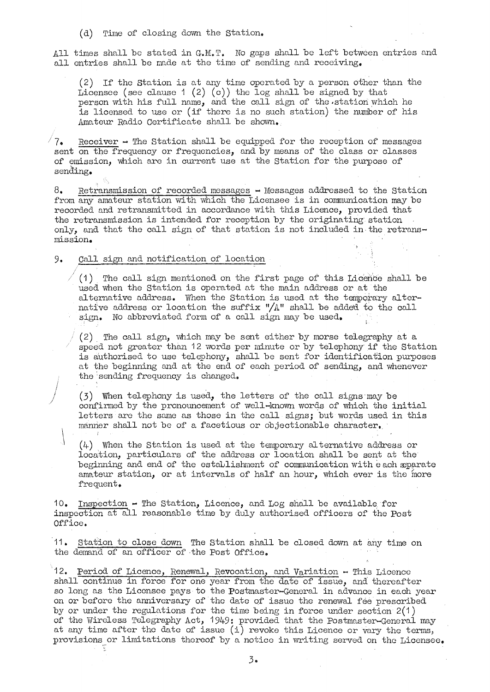(d) Time of closing down the Station.

All times shall be stated in G.M.T. No gaps shall be left between entries and all entries shall be made at the time of sending and receiving.

(2) If the Station is at any time operated by a person other than the Licensee (see clause 1 (2) (c)) the log shall be signed by that person with his full name, and the call sign of the station which he is licensed to use or (if there is no such station) the number of his Amateur Radio Certificate shall be shown.

 $\sqrt{7}$ . Receiver  $\rightarrow$  The Station shall be equipped for the reception of messages sent on the frequency or frequencies, and by means of the class or classes of emission, which are in current use at the Station for the purpose of sending.

 $8.$  Retransmission of recorded messages  $-$  Messages addressed to the Station from any amateur station with which the Licensee is in communication may be recorded and retransmitted in accordance with this Licence, provided that the retransmission is intended for reception by the originating· station only, and that the call sign of that station is not included in the retransmission.

# 9. Call sign and notification of location

 $\vert$ 

<sup>1</sup>( 1) The call sign mentioned on the first page of this Licence shall be used when the Station is operated at the main address or at the alternative address. When the Station is used at the temporary alternative address or location the suffix " $/A$ " shall be added to the call sign. No abbreviated form of a call sign may be used.

(2) The call sign, which may be sent either by morse telegraphy at a speed not greater than 12 words per minute or by telephony if the Station is authorised to use telephony, shall be sent for identification purposes at the beginning and at the end of each period of sending, and whenever the'sending frequency is changed.

 $(3)$  When telephony is used, the letters of the call signs may be confirmed by the pronouncement of well-known words of which the initial letters are the same as those in the call signs; but words used in this manner shall not be of a facetious or objectionable character.

 $(4)$  When the Station is used at the temporary alternative address or location, particulars of the address or location shall be sent at the beginning and end of the establishment of communication with each sparate amateur station, or at intervals of half an hour, which ever is the more frequent.

10. Inspection - The Station, Licence, and Log shall be available. for inspection at all reasonable time by duly authorised officers of the Post Office.

11. Station to close down The Station shall be closed down at any time on the demand of an officer of the Post Office.

12. Period of Licence, Renewal, Revocation, and Variation - This Licence shall continue in force for one year from the date of issue, and thereafter so long as the Licensee pays to the Postmaster-General in advance in each year on or before the anniversary of the date of issue the renewal fee prescribed by or under the regulations for the time being in force under section 2(1) of the Wireless Telegraphy Act, 1949: provided that the Postmaster-General may at any time after the date of issue (i) revoke this Licence or vary the terms, provisions or limitations thereof by a notice in writing served on the Licensee.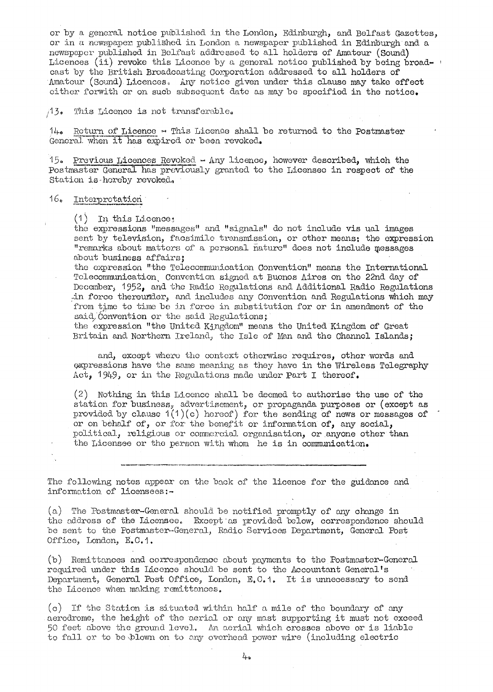or by a general notice published in the London, Edinburgh, and Belfast Gazettes, or in a newspaper published in London a newspaper published in Edinburgh and a newspaper published in Belfast addressed to all holders of Amateur (Sound) Licences (ii) revoke this Licence by a general notice published by being broadcast by the British Broadcasting Comporation addressed to all holders of Amateur (Sound) Licences. Any notice given under this clause may take effect either forwith or on sucb subsequent date as may be specified in the notice.

 $13<sub>e</sub>$ This Licence is not transferable.

 $14\bullet$  Return of Licence  $\sim$  This Licence shall be returned to the Postmaster General when it has expired or been revoked.

 $15.$  Previous Licences Revoked - Any licence, however described, which the Postmaster General has previously granted to the Licensee in respect of the Station is-hereby revoked.

### $16*$  Interpretation

 $(1)$  In this Licence;

the expressions "messages" and "signals" do not include vis ual images sent by television, facsimile transmission, or other means; the expression "remarks about matters of a personal nature" does not include messages about business affairs;

tho expression "the Telecommunication Convention" means the International Telecommunication, Convention signed at Buenos Aires on the 22nd day of December, 1952, and the Radio Regulations and Additional Radio Regulations in force thereunder, and includes any Convention and Regulations which may from time to time be in force in substitution for or in amendment of the said. Convention or the said Regulations;

the expression "the United Kingdom" means the United Kingdom of Great Britain and Northern Ireland, the Isle of Man and the Channel Islands;

and, except where the context otherwise requires, other words and expressions have the same meaning as they have in the Wireless Telegraphy  $Act_{1}$  1949, or in the Regulations made under Part I thereof.

(2) Nothing in this Licence shall be deemed. to authorise the use of the station for business, advertisement, or propaganda purposes or (except as provided by clause  $1(1)(c)$  hereof) for the sending of news or messages of or on behalf of, or for the benefit or information of, any social, political, religious or commercial organisation, or anyone other than the Licensee or the person with whom he is in communication.

The following notes appear on the back of the licence for the guidance and information of licensees:-

---·----·-·---------

(a) The Postmoster-General should be notified promptly of any change in the address of the Licensee. Except as provided below, correspondence should be sent to the Postmaster-General, Radio Services Department, General Post Office, London, E.C.1.

(b) Remittances and correspondence about payments to the Postmaster-General required under this Licence should be sent to the Accountant General's Department, General Post Office, London, E.C.1. It is unnecessary to send the Licence when making remittances.

 $(c)$  If the Station is situated within half a mile of the boundary of any aerodrome, the height of the perial or any mast supporting it must not exceed 50 feet above the ground level. An aerial which crosses above or is liable to fall or to be blown on to any overhead power wire (including electric